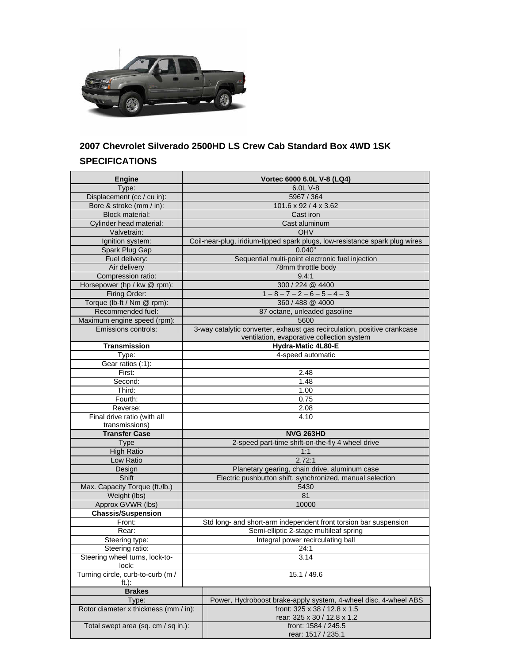

## **2007 Chevrolet Silverado 2500HD LS Crew Cab Standard Box 4WD 1SK SPECIFICATIONS**

| <b>Engine</b>                         | Vortec 6000 6.0L V-8 (LQ4)                                                  |
|---------------------------------------|-----------------------------------------------------------------------------|
| Type:                                 | 6.0L V-8                                                                    |
| Displacement (cc / cu in):            | 5967 / 364                                                                  |
| Bore & stroke (mm / in):              | 101.6 x 92 / 4 x 3.62                                                       |
| <b>Block material:</b>                | Cast iron                                                                   |
| Cylinder head material:               | Cast aluminum                                                               |
| Valvetrain:                           | OHV                                                                         |
| Ignition system:                      | Coil-near-plug, iridium-tipped spark plugs, low-resistance spark plug wires |
| Spark Plug Gap                        | 0.040"                                                                      |
| Fuel delivery:                        | Sequential multi-point electronic fuel injection                            |
| Air delivery                          | 78mm throttle body                                                          |
| Compression ratio:                    | 9.4:1                                                                       |
| Horsepower (hp / kw @ rpm):           | 300 / 224 @ 4400                                                            |
| Firing Order:                         | $1 - 8 - 7 - 2 - 6 - 5 - 4 - 3$                                             |
| Torque (lb-ft / Nm @ rpm):            | 360 / 488 @ 4000                                                            |
| Recommended fuel:                     | 87 octane, unleaded gasoline                                                |
| Maximum engine speed (rpm):           | 5600                                                                        |
| Emissions controls:                   | 3-way catalytic converter, exhaust gas recirculation, positive crankcase    |
|                                       | ventilation, evaporative collection system                                  |
| <b>Transmission</b>                   | Hydra-Matic 4L80-E                                                          |
| Type:                                 | 4-speed automatic                                                           |
| Gear ratios (:1):                     |                                                                             |
| First:                                | 2.48                                                                        |
| Second:                               | 1.48                                                                        |
| Third:                                | 1.00                                                                        |
| Fourth:                               | 0.75                                                                        |
| Reverse:                              | 2.08                                                                        |
| Final drive ratio (with all           | 4.10                                                                        |
| transmissions)                        |                                                                             |
| <b>Transfer Case</b>                  | <b>NVG 263HD</b>                                                            |
| <b>Type</b>                           | 2-speed part-time shift-on-the-fly 4 wheel drive                            |
| <b>High Ratio</b>                     | 1:1                                                                         |
| Low Ratio                             | 2.72:1                                                                      |
| Design                                | Planetary gearing, chain drive, aluminum case                               |
| Shift                                 | Electric pushbutton shift, synchronized, manual selection                   |
| Max. Capacity Torque (ft./lb.)        | 5430                                                                        |
| Weight (lbs)                          | 81                                                                          |
| Approx GVWR (lbs)                     | 10000                                                                       |
| <b>Chassis/Suspension</b>             |                                                                             |
| Front:                                | Std long- and short-arm independent front torsion bar suspension            |
| Rear:                                 | Semi-elliptic 2-stage multileaf spring                                      |
| Steering type:                        | Integral power recirculating ball                                           |
| Steering ratio:                       | 24:1                                                                        |
| Steering wheel turns, lock-to-        | 3.14                                                                        |
| lock:                                 |                                                                             |
| Turning circle, curb-to-curb (m /     | 15.1 / 49.6                                                                 |
| ft.):                                 |                                                                             |
| <b>Brakes</b>                         |                                                                             |
| Type:                                 | Power, Hydroboost brake-apply system, 4-wheel disc, 4-wheel ABS             |
| Rotor diameter x thickness (mm / in): | front: 325 x 38 / 12.8 x 1.5                                                |
|                                       | rear: 325 x 30 / 12.8 x 1.2                                                 |
| Total swept area (sq. cm / sq in.):   | front: 1584 / 245.5<br>rear: 1517 / 235.1                                   |